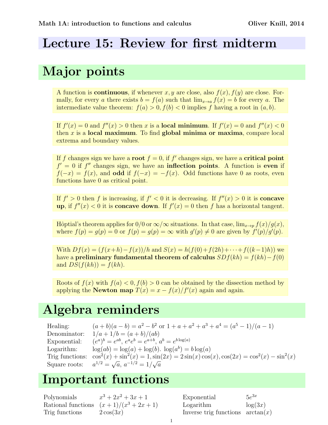#### Lecture 15: Review for first midterm

## Major points

A function is **continuous**, if whenever x, y are close, also  $f(x)$ ,  $f(y)$  are close. Formally, for every a there exists  $b = f(a)$  such that  $\lim_{x\to a} f(x) = b$  for every a. The intermediate value theorem:  $f(a) > 0, f(b) < 0$  implies f having a root in  $(a, b)$ .

If  $f'(x) = 0$  and  $f''(x) > 0$  then x is a **local minimum**. If  $f'(x) = 0$  and  $f''(x) < 0$ then  $x$  is a local maximum. To find global minima or maxima, compare local extrema and boundary values.

If f changes sign we have a root  $f = 0$ , if f' changes sign, we have a critical point  $f' = 0$  if  $f''$  changes sign, we have an **inflection points**. A function is even if  $f(-x) = f(x)$ , and **odd** if  $f(-x) = -f(x)$ . Odd functions have 0 as roots, even functions have 0 as critical point.

If  $f' > 0$  then f is increasing, if  $f' < 0$  it is decreasing. If  $f''(x) > 0$  it is **concave** up, if  $f''(x) < 0$  it is concave down. If  $f'(x) = 0$  then f has a horizontal tangent.

Hôptial's theorem applies for  $0/0$  or  $\infty/\infty$  situations. In that case,  $\lim_{x\to n} f(x)/g(x)$ , where  $f(p) = g(p) = 0$  or  $f(p) = g(p) = \infty$  with  $g'(p) \neq 0$  are given by  $f'(p)/g'(p)$ .

With  $Df(x) = (f(x+h)-f(x))/h$  and  $S(x) = h(f(0)+f(2h)+\cdots+f((k-1)h))$  we have a **preliminary fundamental theorem of calculus**  $SDf(kh) = f(kh) - f(0)$ and  $DS(f(kh)) = f(kh)$ .

Roots of  $f(x)$  with  $f(a) < 0, f(b) > 0$  can be obtained by the dissection method by applying the Newton map  $T(x) = x - f(x)/f'(x)$  again and again.

### Algebra reminders

| Healing:     | $(a + b)(a - b) = a2 – b2$ or $1 + a + a2 + a3 + a4 = (a5 – 1)/(a – 1)$                                         |
|--------------|-----------------------------------------------------------------------------------------------------------------|
| Denominator: | $1/a + 1/b = (a + b)/(ab)$                                                                                      |
| Exponential: | $(e^a)^b = e^{ab}, e^a e^b = e^{a+b}, a^b = e^{b \log(a)}$                                                      |
| Logarithm:   | $\log(ab) = \log(a) + \log(b)$ . $\log(a^b) = b \log(a)$                                                        |
|              | Trig functions: $\cos^2(x) + \sin^2(x) = 1$ , $\sin(2x) = 2\sin(x)\cos(x)$ , $\cos(2x) = \cos^2(x) - \sin^2(x)$ |
|              | Square roots: $a^{1/2} = \sqrt{a}, a^{-1/2} = 1/\sqrt{a}$                                                       |

#### Important functions

Polynomials  $3 + 2x^2 + 3x + 1$ Rational functions  $(x+1)/(x^3+2x+1)$ Trig functions  $2 \cos(3x)$ 

Exponential  $5e^{3x}$ Logarithm  $\log(3x)$ Inverse trig functions  $arctan(x)$